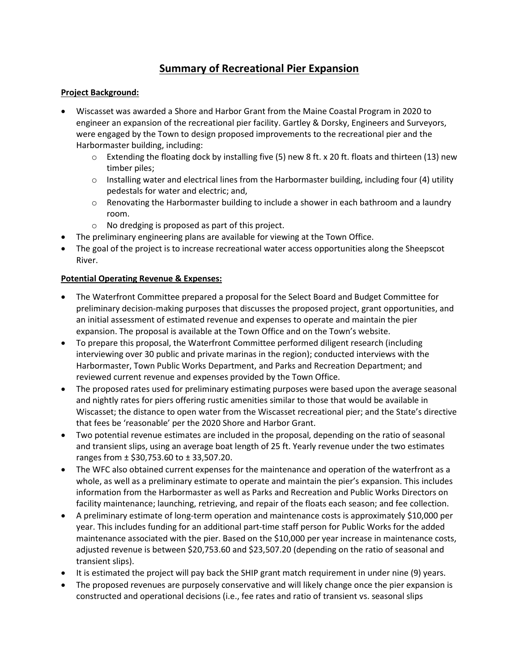# Summary of Recreational Pier Expansion

### Project Background:

- Wiscasset was awarded a Shore and Harbor Grant from the Maine Coastal Program in 2020 to engineer an expansion of the recreational pier facility. Gartley & Dorsky, Engineers and Surveyors, were engaged by the Town to design proposed improvements to the recreational pier and the Harbormaster building, including:
	- $\circ$  Extending the floating dock by installing five (5) new 8 ft. x 20 ft. floats and thirteen (13) new timber piles;
	- $\circ$  Installing water and electrical lines from the Harbormaster building, including four (4) utility pedestals for water and electric; and,
	- $\circ$  Renovating the Harbormaster building to include a shower in each bathroom and a laundry room.
	- o No dredging is proposed as part of this project.
- The preliminary engineering plans are available for viewing at the Town Office.
- The goal of the project is to increase recreational water access opportunities along the Sheepscot River.

## Potential Operating Revenue & Expenses:

- The Waterfront Committee prepared a proposal for the Select Board and Budget Committee for preliminary decision-making purposes that discusses the proposed project, grant opportunities, and an initial assessment of estimated revenue and expenses to operate and maintain the pier expansion. The proposal is available at the Town Office and on the Town's website.
- To prepare this proposal, the Waterfront Committee performed diligent research (including interviewing over 30 public and private marinas in the region); conducted interviews with the Harbormaster, Town Public Works Department, and Parks and Recreation Department; and reviewed current revenue and expenses provided by the Town Office.
- The proposed rates used for preliminary estimating purposes were based upon the average seasonal and nightly rates for piers offering rustic amenities similar to those that would be available in Wiscasset; the distance to open water from the Wiscasset recreational pier; and the State's directive that fees be 'reasonable' per the 2020 Shore and Harbor Grant.
- Two potential revenue estimates are included in the proposal, depending on the ratio of seasonal and transient slips, using an average boat length of 25 ft. Yearly revenue under the two estimates ranges from  $\pm$  \$30,753.60 to  $\pm$  33,507.20.
- The WFC also obtained current expenses for the maintenance and operation of the waterfront as a whole, as well as a preliminary estimate to operate and maintain the pier's expansion. This includes information from the Harbormaster as well as Parks and Recreation and Public Works Directors on facility maintenance; launching, retrieving, and repair of the floats each season; and fee collection.
- A preliminary estimate of long-term operation and maintenance costs is approximately \$10,000 per year. This includes funding for an additional part-time staff person for Public Works for the added maintenance associated with the pier. Based on the \$10,000 per year increase in maintenance costs, adjusted revenue is between \$20,753.60 and \$23,507.20 (depending on the ratio of seasonal and transient slips).
- It is estimated the project will pay back the SHIP grant match requirement in under nine (9) years.
- The proposed revenues are purposely conservative and will likely change once the pier expansion is constructed and operational decisions (i.e., fee rates and ratio of transient vs. seasonal slips